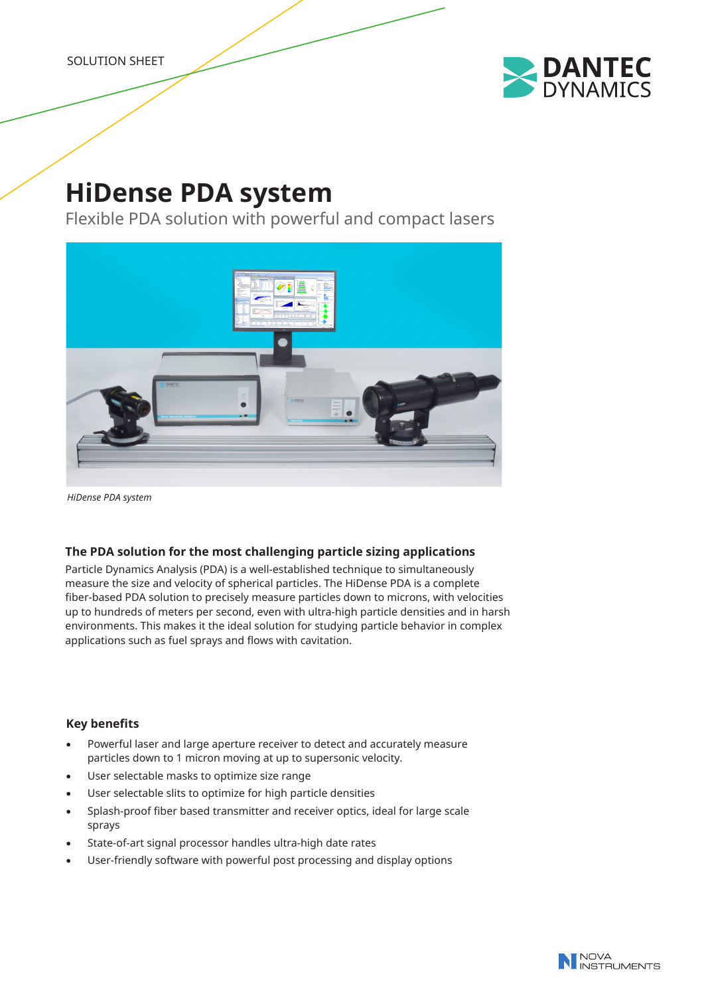

# **HiDense PDA system**

Flexible PDA solution with powerful and compact lasers



*HiDense PDA system*

## **The PDA solution for the most challenging particle sizing applications**

Particle Dynamics Analysis (PDA) is a well-established technique to simultaneously measure the size and velocity of spherical particles. The HiDense PDA is a complete fiber-based PDA solution to precisely measure particles down to microns, with velocities up to hundreds of meters per second, even with ultra-high particle densities and in harsh environments. This makes it the ideal solution for studying particle behavior in complex applications such as fuel sprays and flows with cavitation.

## **Key benefits**

- Powerful laser and large aperture receiver to detect and accurately measure particles down to 1 micron moving at up to supersonic velocity.
- User selectable masks to optimize size range
- User selectable slits to optimize for high particle densities
- Splash-proof fiber based transmitter and receiver optics, ideal for large scale sprays
- State-of-art signal processor handles ultra-high date rates
- User-friendly software with powerful post processing and display options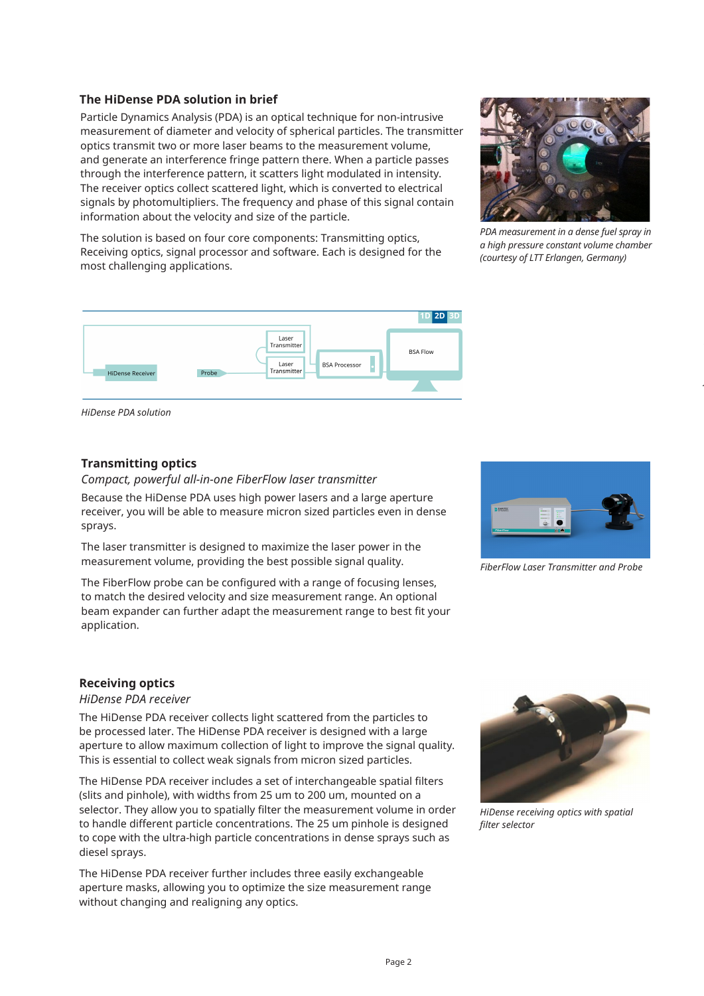# **The HiDense PDA solution in brief**

Particle Dynamics Analysis (PDA) is an optical technique for non-intrusive measurement of diameter and velocity of spherical particles. The transmitter optics transmit two or more laser beams to the measurement volume, and generate an interference fringe pattern there. When a particle passes through the interference pattern, it scatters light modulated in intensity. The receiver optics collect scattered light, which is converted to electrical signals by photomultipliers. The frequency and phase of this signal contain information about the velocity and size of the particle.

The solution is based on four core components: Transmitting optics, Receiving optics, signal processor and software. Each is designed for the most challenging applications.



*PDA measurement in a dense fuel spray in a high pressure constant volume chamber (courtesy of LTT Erlangen, Germany)*

*flow. TU Freiberg\**



*HiDense PDA solution*

## **Transmitting optics**

*Compact, powerful all-in-one FiberFlow laser transmitter* 

Because the HiDense PDA uses high power lasers and a large aperture receiver, you will be able to measure micron sized particles even in dense sprays.

The laser transmitter is designed to maximize the laser power in the measurement volume, providing the best possible signal quality.

The FiberFlow probe can be configured with a range of focusing lenses, to match the desired velocity and size measurement range. An optional beam expander can further adapt the measurement range to best fit your application.



*FiberFlow Laser Transmitter and Probe*

## **Receiving optics**

*HiDense PDA receiver*

The HiDense PDA receiver collects light scattered from the particles to be processed later. The HiDense PDA receiver is designed with a large aperture to allow maximum collection of light to improve the signal quality. This is essential to collect weak signals from micron sized particles.

The HiDense PDA receiver includes a set of interchangeable spatial filters (slits and pinhole), with widths from 25 um to 200 um, mounted on a selector. They allow you to spatially filter the measurement volume in order to handle different particle concentrations. The 25 um pinhole is designed to cope with the ultra-high particle concentrations in dense sprays such as diesel sprays.

The HiDense PDA receiver further includes three easily exchangeable aperture masks, allowing you to optimize the size measurement range without changing and realigning any optics.



*HiDense receiving optics with spatial filter selector*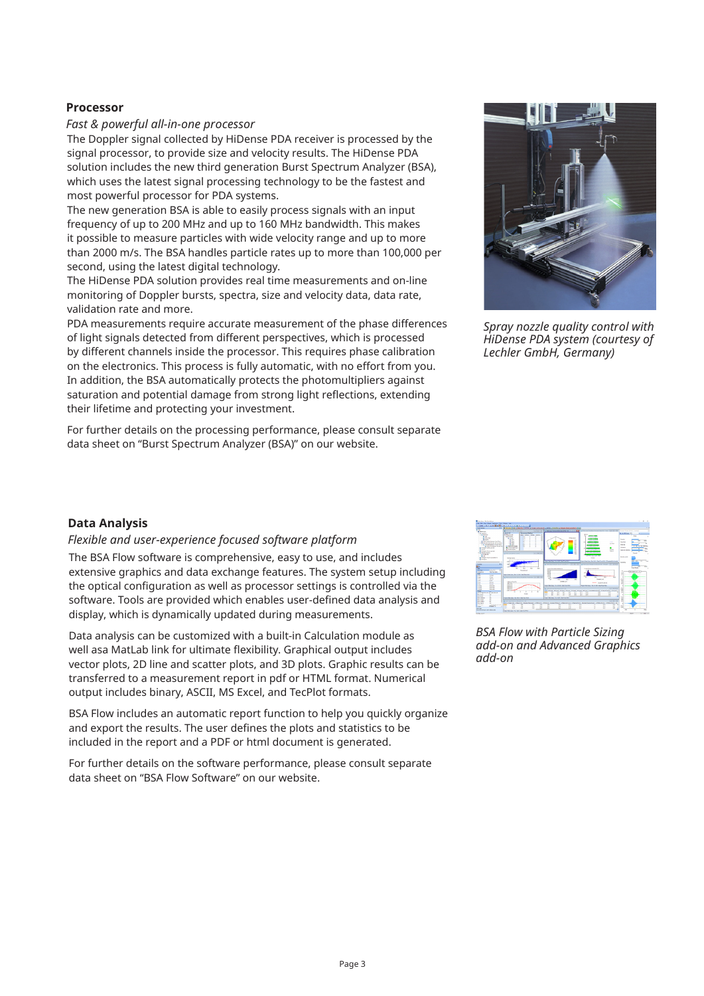## **Processor**

#### *Fast & powerful all-in-one processor*

The Doppler signal collected by HiDense PDA receiver is processed by the signal processor, to provide size and velocity results. The HiDense PDA solution includes the new third generation Burst Spectrum Analyzer (BSA), which uses the latest signal processing technology to be the fastest and most powerful processor for PDA systems.

The new generation BSA is able to easily process signals with an input frequency of up to 200 MHz and up to 160 MHz bandwidth. This makes it possible to measure particles with wide velocity range and up to more than 2000 m/s. The BSA handles particle rates up to more than 100,000 per second, using the latest digital technology.

The HiDense PDA solution provides real time measurements and on-line monitoring of Doppler bursts, spectra, size and velocity data, data rate, validation rate and more.

PDA measurements require accurate measurement of the phase differences of light signals detected from different perspectives, which is processed by different channels inside the processor. This requires phase calibration on the electronics. This process is fully automatic, with no effort from you. In addition, the BSA automatically protects the photomultipliers against saturation and potential damage from strong light reflections, extending their lifetime and protecting your investment.

For further details on the processing performance, please consult separate data sheet on "Burst Spectrum Analyzer (BSA)" on our website.



*Spray nozzle quality control with HiDense PDA system (courtesy of Lechler GmbH, Germany)*

## **Data Analysis**

#### *Flexible and user-experience focused software platform*

The BSA Flow software is comprehensive, easy to use, and includes extensive graphics and data exchange features. The system setup including the optical configuration as well as processor settings is controlled via the software. Tools are provided which enables user-defined data analysis and display, which is dynamically updated during measurements.

Data analysis can be customized with a built-in Calculation module as well asa MatLab link for ultimate flexibility. Graphical output includes vector plots, 2D line and scatter plots, and 3D plots. Graphic results can be transferred to a measurement report in pdf or HTML format. Numerical output includes binary, ASCII, MS Excel, and TecPlot formats.

BSA Flow includes an automatic report function to help you quickly organize and export the results. The user defines the plots and statistics to be included in the report and a PDF or html document is generated.

For further details on the software performance, please consult separate data sheet on "BSA Flow Software" on our website.



*BSA Flow with Particle Sizing add-on and Advanced Graphics add-on*